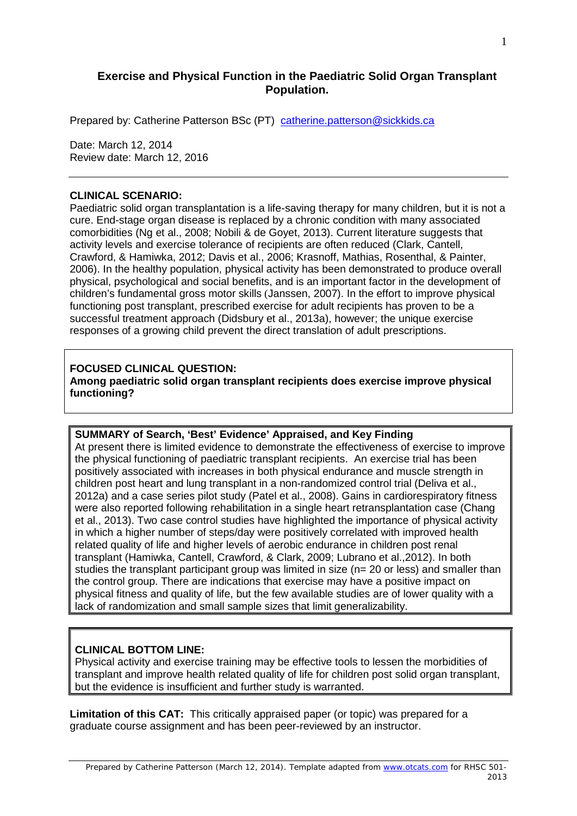# **Exercise and Physical Function in the Paediatric Solid Organ Transplant Population.**

Prepared by: Catherine Patterson BSc (PT) [catherine.patterson@sickkids.ca](mailto:catherine.patterson@sickkids.ca)

Date: March 12, 2014 Review date: March 12, 2016

#### **CLINICAL SCENARIO:**

Paediatric solid organ transplantation is a life-saving therapy for many children, but it is not a cure. End-stage organ disease is replaced by a chronic condition with many associated comorbidities (Ng et al., 2008; Nobili & de Goyet, 2013). Current literature suggests that activity levels and exercise tolerance of recipients are often reduced (Clark, Cantell, Crawford, & Hamiwka, 2012; Davis et al., 2006; Krasnoff, Mathias, Rosenthal, & Painter, 2006). In the healthy population, physical activity has been demonstrated to produce overall physical, psychological and social benefits, and is an important factor in the development of children's fundamental gross motor skills (Janssen, 2007). In the effort to improve physical functioning post transplant, prescribed exercise for adult recipients has proven to be a successful treatment approach (Didsbury et al., 2013a), however; the unique exercise responses of a growing child prevent the direct translation of adult prescriptions.

#### **FOCUSED CLINICAL QUESTION:**

**Among paediatric solid organ transplant recipients does exercise improve physical functioning?**

## **SUMMARY of Search, 'Best' Evidence' Appraised, and Key Finding**

At present there is limited evidence to demonstrate the effectiveness of exercise to improve the physical functioning of paediatric transplant recipients. An exercise trial has been positively associated with increases in both physical endurance and muscle strength in children post heart and lung transplant in a non-randomized control trial (Deliva et al., 2012a) and a case series pilot study (Patel et al., 2008). Gains in cardiorespiratory fitness were also reported following rehabilitation in a single heart retransplantation case (Chang et al., 2013). Two case control studies have highlighted the importance of physical activity in which a higher number of steps/day were positively correlated with improved health related quality of life and higher levels of aerobic endurance in children post renal transplant (Hamiwka, Cantell, Crawford, & Clark, 2009; Lubrano et al.,2012). In both studies the transplant participant group was limited in size ( $n= 20$  or less) and smaller than the control group. There are indications that exercise may have a positive impact on physical fitness and quality of life, but the few available studies are of lower quality with a lack of randomization and small sample sizes that limit generalizability.

#### **CLINICAL BOTTOM LINE:**

Physical activity and exercise training may be effective tools to lessen the morbidities of transplant and improve health related quality of life for children post solid organ transplant, but the evidence is insufficient and further study is warranted.

**Limitation of this CAT:** This critically appraised paper (or topic) was prepared for a graduate course assignment and has been peer-reviewed by an instructor.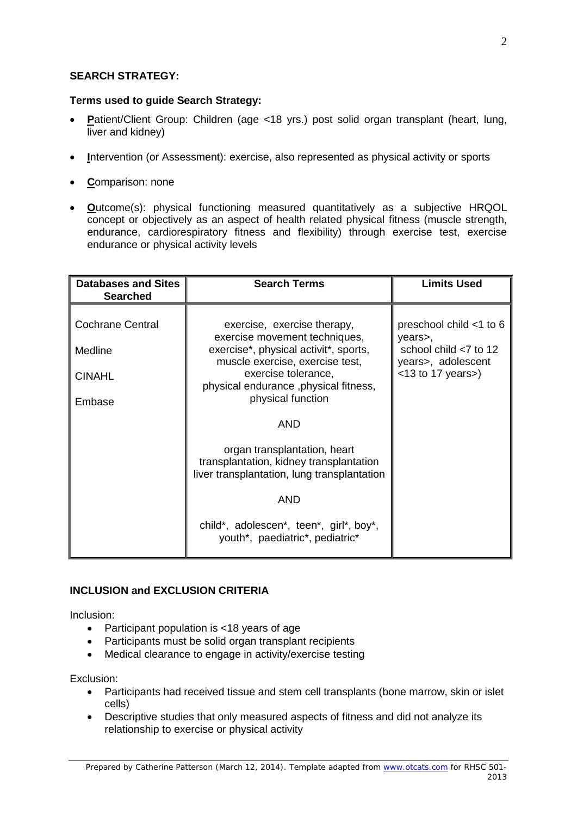# **SEARCH STRATEGY:**

# **Terms used to guide Search Strategy:**

- **P**atient/Client Group: Children (age <18 yrs.) post solid organ transplant (heart, lung, liver and kidney)
- **I**ntervention (or Assessment): exercise, also represented as physical activity or sports
- **C**omparison: none
- **O**utcome(s): physical functioning measured quantitatively as a subjective HRQOL concept or objectively as an aspect of health related physical fitness (muscle strength, endurance, cardiorespiratory fitness and flexibility) through exercise test, exercise endurance or physical activity levels

| <b>Databases and Sites</b><br><b>Searched</b>                 | <b>Search Terms</b>                                                                                                                                                                                                           | <b>Limits Used</b>                                                                                            |
|---------------------------------------------------------------|-------------------------------------------------------------------------------------------------------------------------------------------------------------------------------------------------------------------------------|---------------------------------------------------------------------------------------------------------------|
| <b>Cochrane Central</b><br>Medline<br><b>CINAHL</b><br>Embase | exercise, exercise therapy,<br>exercise movement techniques,<br>exercise*, physical activit*, sports,<br>muscle exercise, exercise test,<br>exercise tolerance,<br>physical endurance, physical fitness,<br>physical function | preschool child <1 to 6<br>years>,<br>school child <7 to 12<br>years>, adolescent<br>$<$ 13 to 17 years $>$ ) |
|                                                               | <b>AND</b>                                                                                                                                                                                                                    |                                                                                                               |
|                                                               | organ transplantation, heart<br>transplantation, kidney transplantation<br>liver transplantation, lung transplantation                                                                                                        |                                                                                                               |
|                                                               | <b>AND</b>                                                                                                                                                                                                                    |                                                                                                               |
|                                                               | child*, adolescen*, teen*, girl*, boy*,<br>youth*, paediatric*, pediatric*                                                                                                                                                    |                                                                                                               |

# **INCLUSION and EXCLUSION CRITERIA**

Inclusion:

- Participant population is <18 years of age
- Participants must be solid organ transplant recipients
- Medical clearance to engage in activity/exercise testing

Exclusion:

- Participants had received tissue and stem cell transplants (bone marrow, skin or islet cells)
- Descriptive studies that only measured aspects of fitness and did not analyze its relationship to exercise or physical activity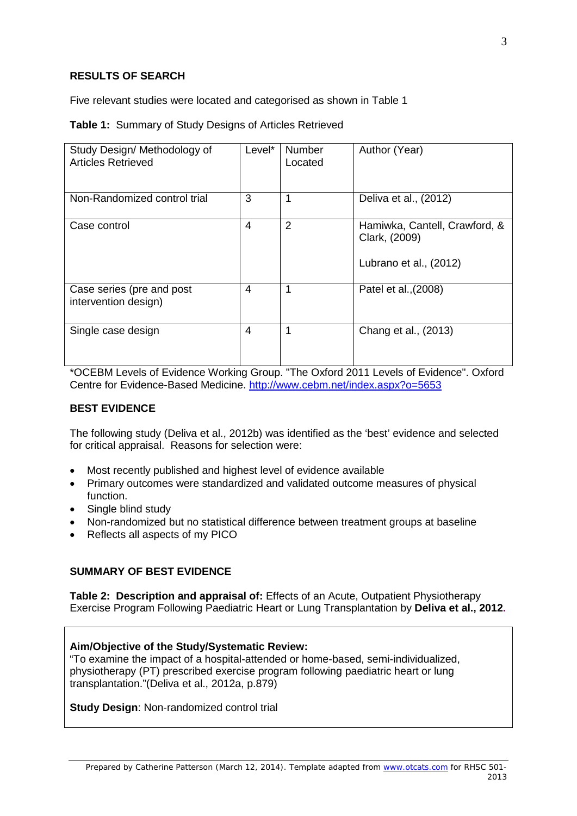# **RESULTS OF SEARCH**

Five relevant studies were located and categorised as shown in Table 1

#### **Table 1:** Summary of Study Designs of Articles Retrieved

| Study Design/ Methodology of<br><b>Articles Retrieved</b> | Level* | <b>Number</b><br>Located | Author (Year)                                                            |
|-----------------------------------------------------------|--------|--------------------------|--------------------------------------------------------------------------|
| Non-Randomized control trial                              | 3      | 1                        | Deliva et al., (2012)                                                    |
| Case control                                              | 4      | $\overline{2}$           | Hamiwka, Cantell, Crawford, &<br>Clark, (2009)<br>Lubrano et al., (2012) |
| Case series (pre and post<br>intervention design)         | 4      | 1                        | Patel et al., (2008)                                                     |
| Single case design                                        | 4      | 1                        | Chang et al., (2013)                                                     |

\*OCEBM Levels of Evidence Working Group. "The Oxford 2011 Levels of Evidence". Oxford Centre for Evidence-Based Medicine.<http://www.cebm.net/index.aspx?o=5653>

## **BEST EVIDENCE**

The following study (Deliva et al., 2012b) was identified as the 'best' evidence and selected for critical appraisal. Reasons for selection were:

- Most recently published and highest level of evidence available
- Primary outcomes were standardized and validated outcome measures of physical function.
- Single blind study
- Non-randomized but no statistical difference between treatment groups at baseline
- Reflects all aspects of my PICO

## **SUMMARY OF BEST EVIDENCE**

**Table 2: Description and appraisal of:** Effects of an Acute, Outpatient Physiotherapy Exercise Program Following Paediatric Heart or Lung Transplantation by **Deliva et al., 2012.**

#### **Aim/Objective of the Study/Systematic Review:**

"To examine the impact of a hospital-attended or home-based, semi-individualized, physiotherapy (PT) prescribed exercise program following paediatric heart or lung transplantation."(Deliva et al., 2012a, p.879)

**Study Design**: Non-randomized control trial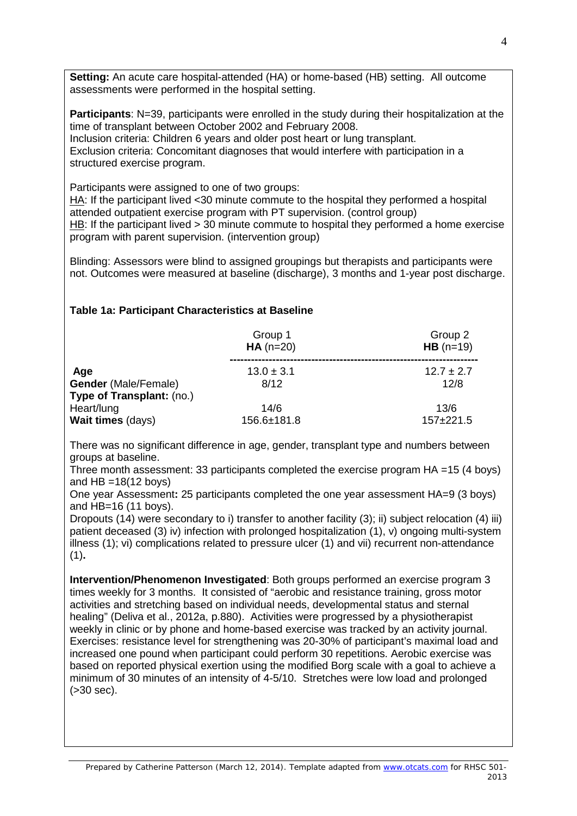**Setting:** An acute care hospital-attended (HA) or home-based (HB) setting. All outcome assessments were performed in the hospital setting.

**Participants:** N=39, participants were enrolled in the study during their hospitalization at the time of transplant between October 2002 and February 2008. Inclusion criteria: Children 6 years and older post heart or lung transplant. Exclusion criteria: Concomitant diagnoses that would interfere with participation in a structured exercise program.

Participants were assigned to one of two groups:

HA: If the participant lived <30 minute commute to the hospital they performed a hospital attended outpatient exercise program with PT supervision. (control group) HB: If the participant lived > 30 minute commute to hospital they performed a home exercise program with parent supervision. (intervention group)

Blinding: Assessors were blind to assigned groupings but therapists and participants were not. Outcomes were measured at baseline (discharge), 3 months and 1-year post discharge.

## **Table 1a: Participant Characteristics at Baseline**

|                                                          | Group 1<br>$HA(n=20)$ | Group 2<br>$HB (n=19)$ |  |
|----------------------------------------------------------|-----------------------|------------------------|--|
| Age                                                      | $13.0 \pm 3.1$        | $12.7 \pm 2.7$         |  |
| <b>Gender</b> (Male/Female)<br>Type of Transplant: (no.) | 8/12                  | 12/8                   |  |
| Heart/lung                                               | 14/6<br>156.6±181.8   | 13/6<br>$157+221.5$    |  |
| Wait times (days)                                        |                       |                        |  |

There was no significant difference in age, gender, transplant type and numbers between groups at baseline.

Three month assessment: 33 participants completed the exercise program HA =15 (4 boys) and  $HB = 18(12 \text{ boys})$ 

One year Assessment**:** 25 participants completed the one year assessment HA=9 (3 boys) and HB=16 (11 boys).

Dropouts (14) were secondary to i) transfer to another facility (3); ii) subject relocation (4) iii) patient deceased (3) iv) infection with prolonged hospitalization (1), v) ongoing multi-system illness (1); vi) complications related to pressure ulcer (1) and vii) recurrent non-attendance (1)**.**

**Intervention/Phenomenon Investigated**: Both groups performed an exercise program 3 times weekly for 3 months. It consisted of "aerobic and resistance training, gross motor activities and stretching based on individual needs, developmental status and sternal healing" (Deliva et al., 2012a, p.880). Activities were progressed by a physiotherapist weekly in clinic or by phone and home-based exercise was tracked by an activity journal. Exercises: resistance level for strengthening was 20-30% of participant's maximal load and increased one pound when participant could perform 30 repetitions. Aerobic exercise was based on reported physical exertion using the modified Borg scale with a goal to achieve a minimum of 30 minutes of an intensity of 4-5/10. Stretches were low load and prolonged (>30 sec).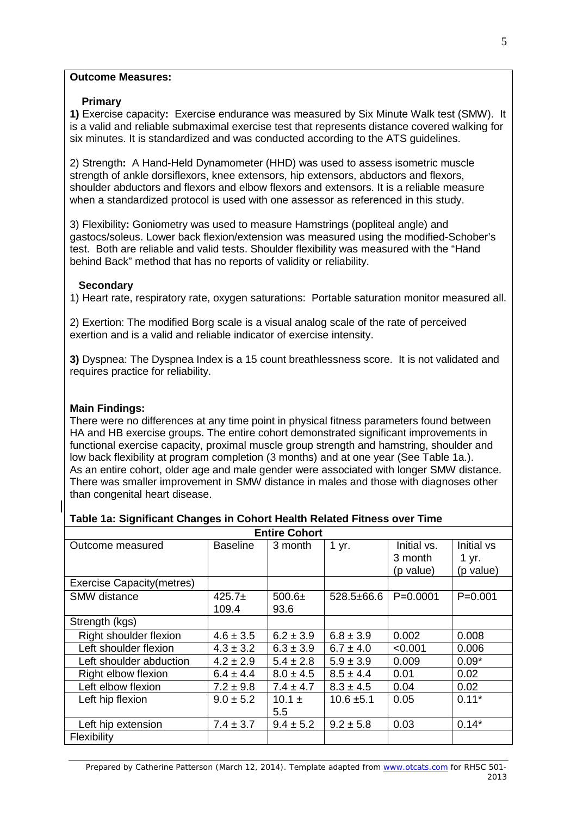#### **Outcome Measures:**

## **Primary**

**1)** Exercise capacity**:** Exercise endurance was measured by Six Minute Walk test (SMW). It is a valid and reliable submaximal exercise test that represents distance covered walking for six minutes. It is standardized and was conducted according to the ATS guidelines.

2) Strength**:** A Hand-Held Dynamometer (HHD) was used to assess isometric muscle strength of ankle dorsiflexors, knee extensors, hip extensors, abductors and flexors, shoulder abductors and flexors and elbow flexors and extensors. It is a reliable measure when a standardized protocol is used with one assessor as referenced in this study.

3) Flexibility**:** Goniometry was used to measure Hamstrings (popliteal angle) and gastocs/soleus. Lower back flexion/extension was measured using the modified-Schober's test. Both are reliable and valid tests. Shoulder flexibility was measured with the "Hand behind Back" method that has no reports of validity or reliability.

## **Secondary**

1) Heart rate, respiratory rate, oxygen saturations: Portable saturation monitor measured all.

2) Exertion: The modified Borg scale is a visual analog scale of the rate of perceived exertion and is a valid and reliable indicator of exercise intensity.

**3)** Dyspnea: The Dyspnea Index is a 15 count breathlessness score. It is not validated and requires practice for reliability.

# **Main Findings:**

There were no differences at any time point in physical fitness parameters found between HA and HB exercise groups. The entire cohort demonstrated significant improvements in functional exercise capacity, proximal muscle group strength and hamstring, shoulder and low back flexibility at program completion (3 months) and at one year (See Table 1a.). As an entire cohort, older age and male gender were associated with longer SMW distance. There was smaller improvement in SMW distance in males and those with diagnoses other than congenital heart disease.

## **Table 1a: Significant Changes in Cohort Health Related Fitness over Time**

| <b>Entire Cohort</b>              |                   |                  |                 |                                     |                                  |
|-----------------------------------|-------------------|------------------|-----------------|-------------------------------------|----------------------------------|
| Outcome measured                  | <b>Baseline</b>   | 3 month          | 1 yr.           | Initial vs.<br>3 month<br>(p value) | Initial vs<br>1 yr.<br>(p value) |
| <b>Exercise Capacity (metres)</b> |                   |                  |                 |                                     |                                  |
| <b>SMW</b> distance               | $425.7+$<br>109.4 | $500.6+$<br>93.6 | $528.5\pm 66.6$ | $P=0.0001$                          | $P = 0.001$                      |
| Strength (kgs)                    |                   |                  |                 |                                     |                                  |
| Right shoulder flexion            | $4.6 \pm 3.5$     | $6.2 \pm 3.9$    | $6.8 \pm 3.9$   | 0.002                               | 0.008                            |
| Left shoulder flexion             | $4.3 \pm 3.2$     | $6.3 \pm 3.9$    | $6.7 \pm 4.0$   | < 0.001                             | 0.006                            |
| Left shoulder abduction           | $4.2 \pm 2.9$     | $5.4 \pm 2.8$    | $5.9 \pm 3.9$   | 0.009                               | $0.09*$                          |
| Right elbow flexion               | $6.4 \pm 4.4$     | $8.0 \pm 4.5$    | $8.5 \pm 4.4$   | 0.01                                | 0.02                             |
| Left elbow flexion                | $7.2 \pm 9.8$     | $7.4 \pm 4.7$    | $8.3 \pm 4.5$   | 0.04                                | 0.02                             |
| Left hip flexion                  | $9.0 \pm 5.2$     | $10.1 +$<br>5.5  | $10.6 \pm 5.1$  | 0.05                                | $0.11*$                          |
| Left hip extension                | $7.4 \pm 3.7$     | $9.4 \pm 5.2$    | $9.2 \pm 5.8$   | 0.03                                | $0.14*$                          |
| Flexibility                       |                   |                  |                 |                                     |                                  |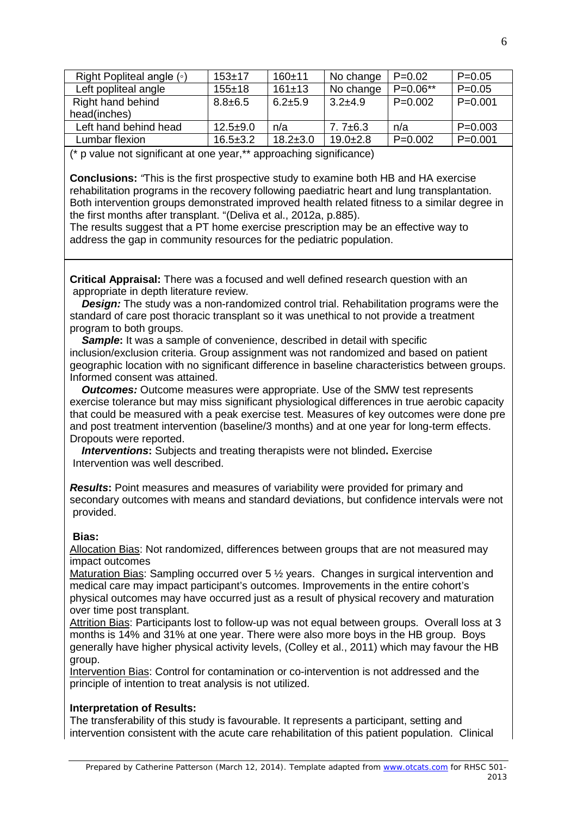| Right Popliteal angle $( \circ )$ | $153+17$       | $160+11$       | No change     | $P=0.02$   | $P=0.05$    |
|-----------------------------------|----------------|----------------|---------------|------------|-------------|
| Left popliteal angle              | $155 + 18$     | 161±13         | No change     | $P=0.06**$ | $P = 0.05$  |
| Right hand behind                 | $8.8 + 6.5$    | $6.2 \pm 5.9$  | $3.2 + 4.9$   | $P=0.002$  | $P = 0.001$ |
| head(inches)                      |                |                |               |            |             |
| Left hand behind head             | $12.5 + 9.0$   | n/a            | $7.7 \pm 6.3$ | n/a        | $P = 0.003$ |
| Lumbar flexion                    | $16.5 \pm 3.2$ | $18.2 \pm 3.0$ | $19.0 + 2.8$  | $P=0.002$  | $P = 0.001$ |

(\* p value not significant at one year,\*\* approaching significance)

**Conclusions:** *"*This is the first prospective study to examine both HB and HA exercise rehabilitation programs in the recovery following paediatric heart and lung transplantation. Both intervention groups demonstrated improved health related fitness to a similar degree in the first months after transplant. "(Deliva et al., 2012a, p.885).

The results suggest that a PT home exercise prescription may be an effective way to address the gap in community resources for the pediatric population.

**Critical Appraisal:** There was a focused and well defined research question with an appropriate in depth literature review.

*Design:* The study was a non-randomized control trial. Rehabilitation programs were the standard of care post thoracic transplant so it was unethical to not provide a treatment program to both groups.

**Sample:** It was a sample of convenience, described in detail with specific inclusion/exclusion criteria. Group assignment was not randomized and based on patient geographic location with no significant difference in baseline characteristics between groups. Informed consent was attained.

 *Outcomes:* Outcome measures were appropriate. Use of the SMW test represents exercise tolerance but may miss significant physiological differences in true aerobic capacity that could be measured with a peak exercise test. Measures of key outcomes were done pre and post treatment intervention (baseline/3 months) and at one year for long-term effects. Dropouts were reported.

*Interventions***:** Subjects and treating therapists were not blinded**.** Exercise Intervention was well described.

*Results***:** Point measures and measures of variability were provided for primary and secondary outcomes with means and standard deviations, but confidence intervals were not provided.

## **Bias:**

Allocation Bias: Not randomized, differences between groups that are not measured may impact outcomes

Maturation Bias: Sampling occurred over 5 ½ years. Changes in surgical intervention and medical care may impact participant's outcomes. Improvements in the entire cohort's physical outcomes may have occurred just as a result of physical recovery and maturation over time post transplant.

Attrition Bias: Participants lost to follow-up was not equal between groups. Overall loss at 3 months is 14% and 31% at one year. There were also more boys in the HB group. Boys generally have higher physical activity levels, (Colley et al., 2011) which may favour the HB group.

Intervention Bias: Control for contamination or co-intervention is not addressed and the principle of intention to treat analysis is not utilized.

## **Interpretation of Results:**

The transferability of this study is favourable. It represents a participant, setting and intervention consistent with the acute care rehabilitation of this patient population. Clinical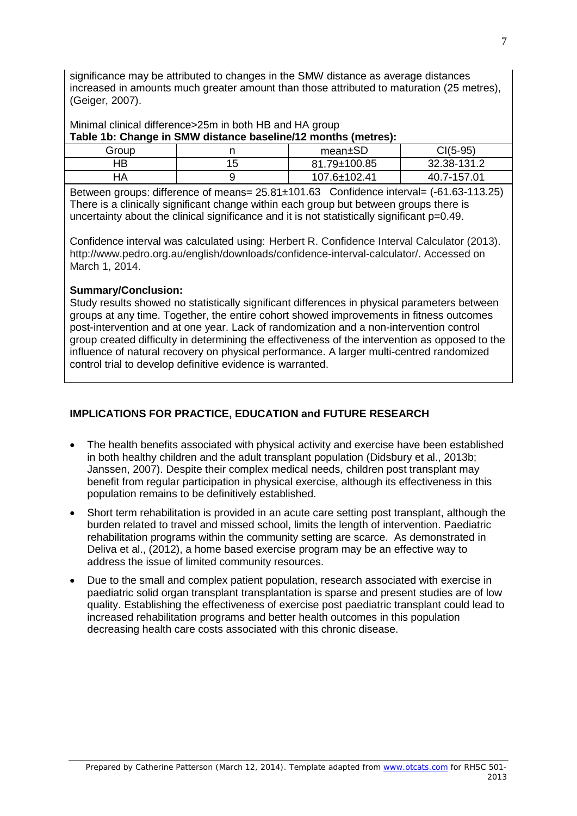significance may be attributed to changes in the SMW distance as average distances increased in amounts much greater amount than those attributed to maturation (25 metres), (Geiger, 2007).

Minimal clinical difference>25m in both HB and HA group

**Table 1b: Change in SMW distance baseline/12 months (metres):** 

| Group |          | mean±SD      | CI(5-95)    |
|-------|----------|--------------|-------------|
| HВ    | ィに<br>ັບ | 81.79±100.85 | 32.38-131.2 |
| ЧA    |          | 107.6±102.41 | 40.7-157.01 |
|       |          |              |             |

Between groups: difference of means=  $25.81 \pm 101.63$  Confidence interval= (-61.63-113.25) There is a clinically significant change within each group but between groups there is uncertainty about the clinical significance and it is not statistically significant p=0.49.

Confidence interval was calculated using: Herbert R. Confidence Interval Calculator (2013). http://www.pedro.org.au/english/downloads/confidence-interval-calculator/. Accessed on March 1, 2014.

## **Summary/Conclusion:**

Study results showed no statistically significant differences in physical parameters between groups at any time. Together, the entire cohort showed improvements in fitness outcomes post-intervention and at one year. Lack of randomization and a non-intervention control group created difficulty in determining the effectiveness of the intervention as opposed to the influence of natural recovery on physical performance. A larger multi-centred randomized control trial to develop definitive evidence is warranted.

# **IMPLICATIONS FOR PRACTICE, EDUCATION and FUTURE RESEARCH**

- The health benefits associated with physical activity and exercise have been established in both healthy children and the adult transplant population (Didsbury et al., 2013b; Janssen, 2007). Despite their complex medical needs, children post transplant may benefit from regular participation in physical exercise, although its effectiveness in this population remains to be definitively established.
- Short term rehabilitation is provided in an acute care setting post transplant, although the burden related to travel and missed school, limits the length of intervention. Paediatric rehabilitation programs within the community setting are scarce. As demonstrated in Deliva et al., (2012), a home based exercise program may be an effective way to address the issue of limited community resources.
- Due to the small and complex patient population, research associated with exercise in paediatric solid organ transplant transplantation is sparse and present studies are of low quality. Establishing the effectiveness of exercise post paediatric transplant could lead to increased rehabilitation programs and better health outcomes in this population decreasing health care costs associated with this chronic disease.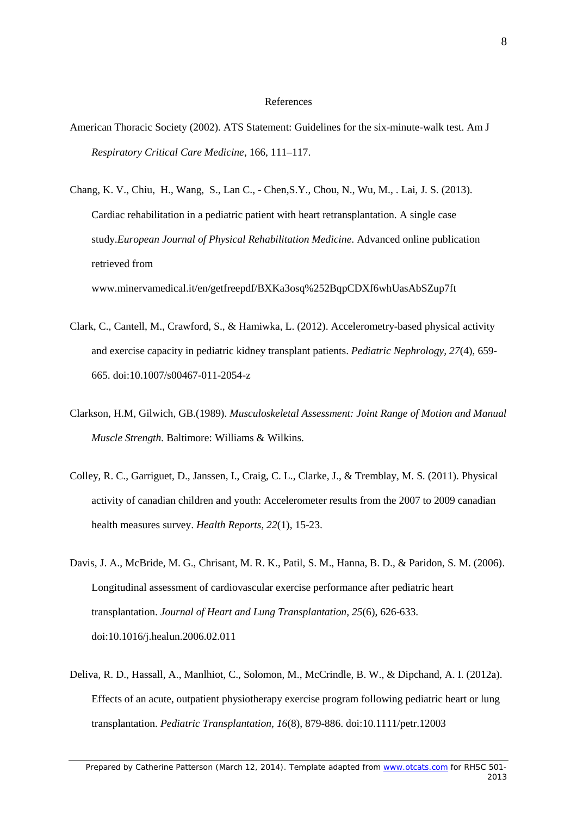#### References

- American Thoracic Society (2002). ATS Statement: Guidelines for the six-minute-walk test. Am J *Respiratory Critical Care Medicine*, 166, 111–117.
- Chang, K. V., Chiu, H., Wang, S., Lan C., Chen,S.Y., Chou, N., Wu, M., . Lai, J. S. (2013). Cardiac rehabilitation in a pediatric patient with heart retransplantation. A single case study.*European Journal of Physical Rehabilitation Medicine*. Advanced online publication retrieved from www.minervamedical.it/en/getfreepdf/BXKa3osq%252BqpCDXf6whUasAbSZup7ft
- Clark, C., Cantell, M., Crawford, S., & Hamiwka, L. (2012). Accelerometry-based physical activity and exercise capacity in pediatric kidney transplant patients. *Pediatric Nephrology, 27*(4), 659- 665. doi:10.1007/s00467-011-2054-z
- Clarkson, H.M, Gilwich, GB.(1989). *Musculoskeletal Assessment: Joint Range of Motion and Manual Muscle Strength.* Baltimore: Williams & Wilkins.
- Colley, R. C., Garriguet, D., Janssen, I., Craig, C. L., Clarke, J., & Tremblay, M. S. (2011). Physical activity of canadian children and youth: Accelerometer results from the 2007 to 2009 canadian health measures survey. *Health Reports, 22*(1), 15-23.
- Davis, J. A., McBride, M. G., Chrisant, M. R. K., Patil, S. M., Hanna, B. D., & Paridon, S. M. (2006). Longitudinal assessment of cardiovascular exercise performance after pediatric heart transplantation. *Journal of Heart and Lung Transplantation, 25*(6), 626-633. doi:10.1016/j.healun.2006.02.011
- Deliva, R. D., Hassall, A., Manlhiot, C., Solomon, M., McCrindle, B. W., & Dipchand, A. I. (2012a). Effects of an acute, outpatient physiotherapy exercise program following pediatric heart or lung transplantation. *Pediatric Transplantation, 16*(8), 879-886. doi:10.1111/petr.12003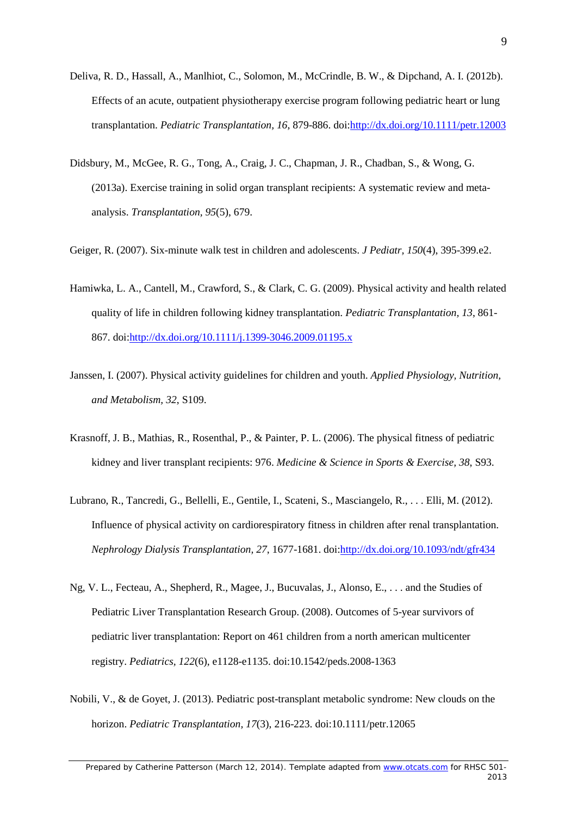- Deliva, R. D., Hassall, A., Manlhiot, C., Solomon, M., McCrindle, B. W., & Dipchand, A. I. (2012b). Effects of an acute, outpatient physiotherapy exercise program following pediatric heart or lung transplantation. *Pediatric Transplantation, 16*, 879-886. doi[:http://dx.doi.org/10.1111/petr.12003](http://dx.doi.org/10.1111/petr.12003)
- Didsbury, M., McGee, R. G., Tong, A., Craig, J. C., Chapman, J. R., Chadban, S., & Wong, G. (2013a). Exercise training in solid organ transplant recipients: A systematic review and metaanalysis. *Transplantation, 95*(5), 679.
- Geiger, R. (2007). Six-minute walk test in children and adolescents. *J Pediatr, 150*(4), 395-399.e2.
- Hamiwka, L. A., Cantell, M., Crawford, S., & Clark, C. G. (2009). Physical activity and health related quality of life in children following kidney transplantation. *Pediatric Transplantation, 13*, 861- 867. doi[:http://dx.doi.org/10.1111/j.1399-3046.2009.01195.x](http://dx.doi.org/10.1111/j.1399-3046.2009.01195.x)
- Janssen, I. (2007). Physical activity guidelines for children and youth. *Applied Physiology, Nutrition, and Metabolism, 32*, S109.
- Krasnoff, J. B., Mathias, R., Rosenthal, P., & Painter, P. L. (2006). The physical fitness of pediatric kidney and liver transplant recipients: 976. *Medicine & Science in Sports & Exercise, 38*, S93.
- Lubrano, R., Tancredi, G., Bellelli, E., Gentile, I., Scateni, S., Masciangelo, R., . . . Elli, M. (2012). Influence of physical activity on cardiorespiratory fitness in children after renal transplantation. *Nephrology Dialysis Transplantation, 27*, 1677-1681. doi[:http://dx.doi.org/10.1093/ndt/gfr434](http://dx.doi.org/10.1093/ndt/gfr434)
- Ng, V. L., Fecteau, A., Shepherd, R., Magee, J., Bucuvalas, J., Alonso, E., . . . and the Studies of Pediatric Liver Transplantation Research Group. (2008). Outcomes of 5-year survivors of pediatric liver transplantation: Report on 461 children from a north american multicenter registry. *Pediatrics, 122*(6), e1128-e1135. doi:10.1542/peds.2008-1363
- Nobili, V., & de Goyet, J. (2013). Pediatric post-transplant metabolic syndrome: New clouds on the horizon. *Pediatric Transplantation, 17*(3), 216-223. doi:10.1111/petr.12065